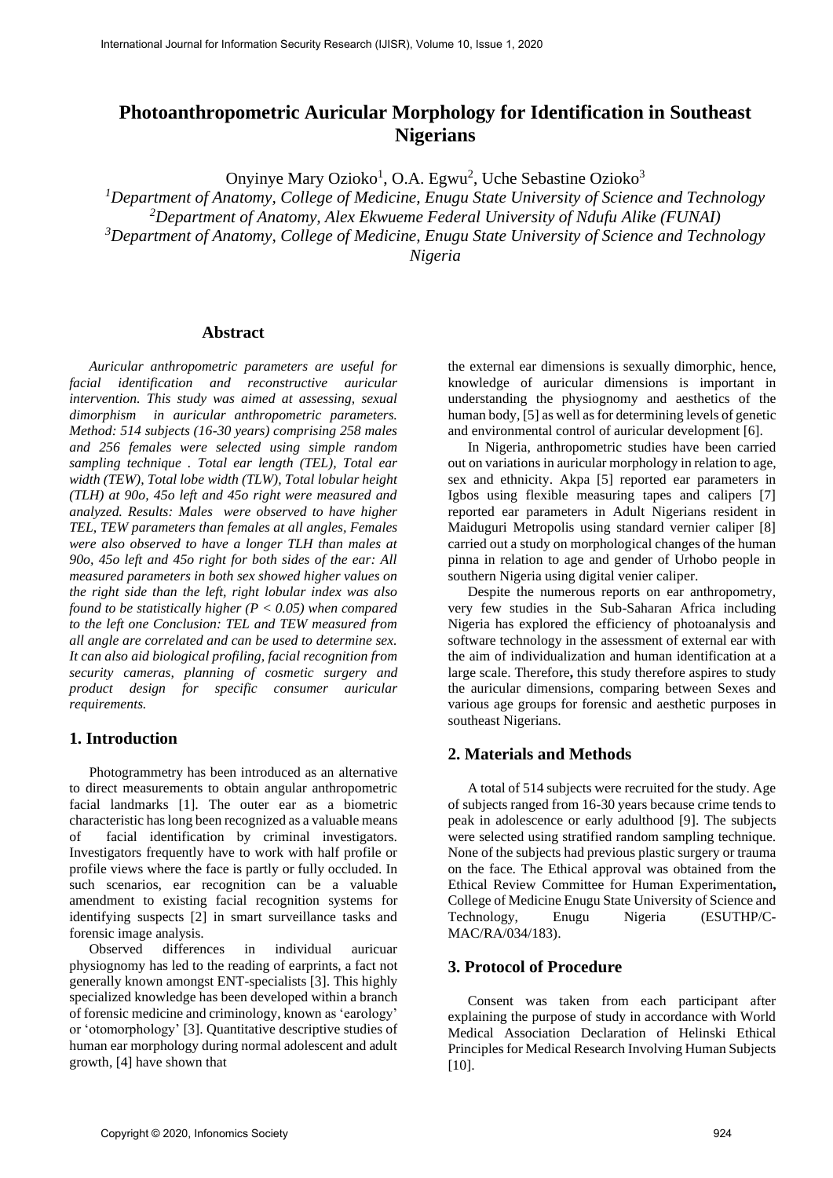# **Photoanthropometric Auricular Morphology for Identification in Southeast Nigerians**

Onyinye Mary Ozioko<sup>1</sup>, O.A. Egwu<sup>2</sup>, Uche Sebastine Ozioko<sup>3</sup>

*<sup>1</sup>Department of Anatomy, College of Medicine, Enugu State University of Science and Technology*

*<sup>2</sup>Department of Anatomy, Alex Ekwueme Federal University of Ndufu Alike (FUNAI)*

*<sup>3</sup>Department of Anatomy, College of Medicine, Enugu State University of Science and Technology*

*Nigeria*

### **Abstract**

*Auricular anthropometric parameters are useful for facial identification and reconstructive auricular intervention. This study was aimed at assessing, sexual dimorphism in auricular anthropometric parameters. Method: 514 subjects (16-30 years) comprising 258 males and 256 females were selected using simple random sampling technique . Total ear length (TEL), Total ear width (TEW), Total lobe width (TLW), Total lobular height (TLH) at 90o, 45o left and 45o right were measured and analyzed. Results: Males were observed to have higher TEL, TEW parameters than females at all angles, Females were also observed to have a longer TLH than males at 90o, 45o left and 45o right for both sides of the ear: All measured parameters in both sex showed higher values on the right side than the left, right lobular index was also found to be statistically higher (P < 0.05) when compared to the left one Conclusion: TEL and TEW measured from all angle are correlated and can be used to determine sex. It can also aid biological profiling, facial recognition from security cameras, planning of cosmetic surgery and product design for specific consumer auricular requirements.*

# **1. Introduction**

Photogrammetry has been introduced as an alternative to direct measurements to obtain angular anthropometric facial landmarks [1]. The outer ear as a biometric characteristic has long been recognized as a valuable means of facial identification by criminal investigators. Investigators frequently have to work with half profile or profile views where the face is partly or fully occluded. In such scenarios, ear recognition can be a valuable amendment to existing facial recognition systems for identifying suspects [2] in smart surveillance tasks and forensic image analysis.

Observed differences in individual auricuar physiognomy has led to the reading of earprints, a fact not generally known amongst ENT-specialists [3]. This highly specialized knowledge has been developed within a branch of forensic medicine and criminology, known as 'earology' or 'otomorphology' [3]. Quantitative descriptive studies of human ear morphology during normal adolescent and adult growth, [4] have shown that

the external ear dimensions is sexually dimorphic, hence, knowledge of auricular dimensions is important in understanding the physiognomy and aesthetics of the human body, [5] as well as for determining levels of genetic and environmental control of auricular development [6].

In Nigeria, anthropometric studies have been carried out on variations in auricular morphology in relation to age, sex and ethnicity. Akpa [5] reported ear parameters in Igbos using flexible measuring tapes and calipers [7] reported ear parameters in Adult Nigerians resident in Maiduguri Metropolis using standard vernier caliper [8] carried out a study on morphological changes of the human pinna in relation to age and gender of Urhobo people in southern Nigeria using digital venier caliper.

Despite the numerous reports on ear anthropometry, very few studies in the Sub-Saharan Africa including Nigeria has explored the efficiency of photoanalysis and software technology in the assessment of external ear with the aim of individualization and human identification at a large scale. Therefore**,** this study therefore aspires to study the auricular dimensions, comparing between Sexes and various age groups for forensic and aesthetic purposes in southeast Nigerians.

### **2. Materials and Methods**

A total of 514 subjects were recruited for the study. Age of subjects ranged from 16-30 years because crime tends to peak in adolescence or early adulthood [9]. The subjects were selected using stratified random sampling technique. None of the subjects had previous plastic surgery or trauma on the face. The Ethical approval was obtained from the Ethical Review Committee for Human Experimentation**,**  College of Medicine Enugu State University of Science and Technology, Enugu Nigeria (ESUTHP/C-MAC/RA/034/183).

### **3. Protocol of Procedure**

Consent was taken from each participant after explaining the purpose of study in accordance with World Medical Association Declaration of Helinski Ethical Principles for Medical Research Involving Human Subjects [10].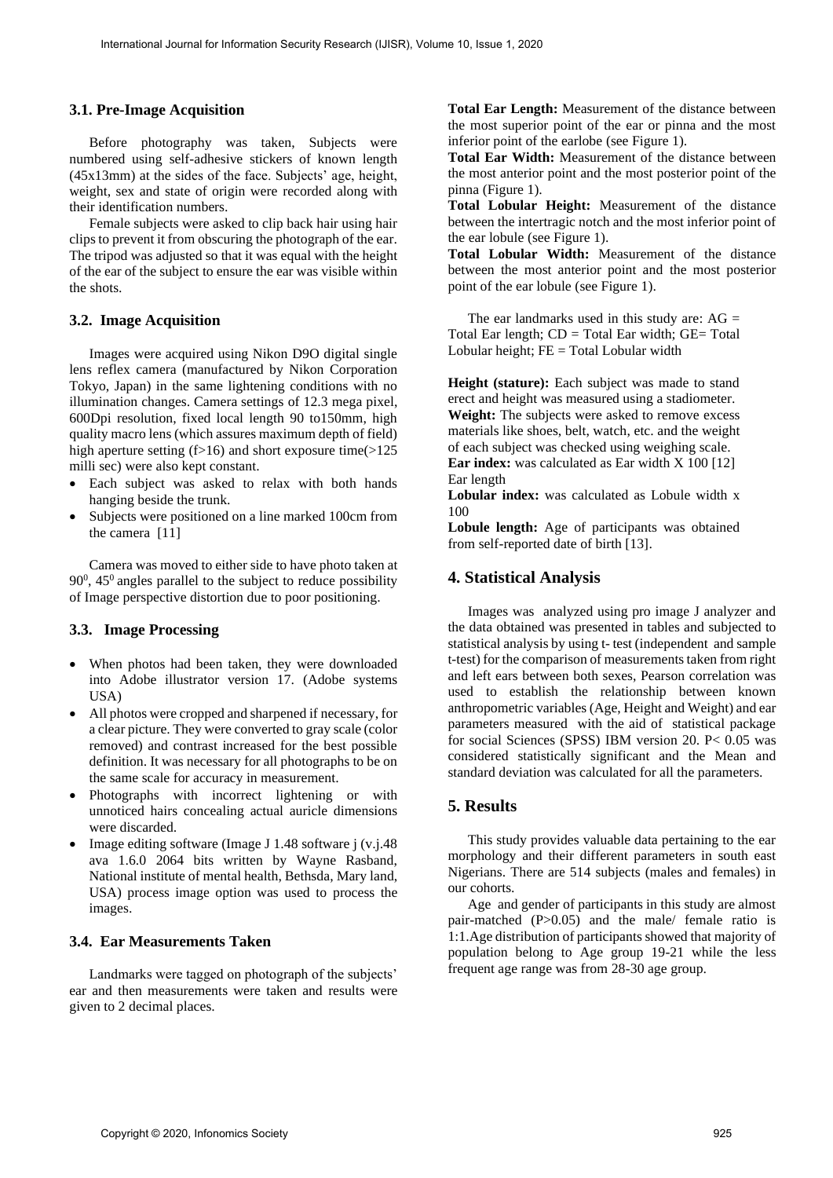#### **3.1. Pre-Image Acquisition**

Before photography was taken, Subjects were numbered using self-adhesive stickers of known length (45x13mm) at the sides of the face. Subjects' age, height, weight, sex and state of origin were recorded along with their identification numbers.

Female subjects were asked to clip back hair using hair clips to prevent it from obscuring the photograph of the ear. The tripod was adjusted so that it was equal with the height of the ear of the subject to ensure the ear was visible within the shots.

#### **3.2. Image Acquisition**

Images were acquired using Nikon D9O digital single lens reflex camera (manufactured by Nikon Corporation Tokyo, Japan) in the same lightening conditions with no illumination changes. Camera settings of 12.3 mega pixel, 600Dpi resolution, fixed local length 90 to150mm, high quality macro lens (which assures maximum depth of field) high aperture setting  $(f>16)$  and short exposure time( $>125$ milli sec) were also kept constant.

- Each subject was asked to relax with both hands hanging beside the trunk.
- Subjects were positioned on a line marked 100cm from the camera [11]

Camera was moved to either side to have photo taken at  $90^0$ ,  $45^0$  angles parallel to the subject to reduce possibility of Image perspective distortion due to poor positioning.

#### **3.3. Image Processing**

- When photos had been taken, they were downloaded into Adobe illustrator version 17. (Adobe systems USA)
- All photos were cropped and sharpened if necessary, for a clear picture. They were converted to gray scale (color removed) and contrast increased for the best possible definition. It was necessary for all photographs to be on the same scale for accuracy in measurement.
- Photographs with incorrect lightening or with unnoticed hairs concealing actual auricle dimensions were discarded.
- Image editing software (Image J 1.48 software j (v.j.48 ava 1.6.0 2064 bits written by Wayne Rasband, National institute of mental health, Bethsda, Mary land, USA) process image option was used to process the images.

### **3.4. Ear Measurements Taken**

Landmarks were tagged on photograph of the subjects' ear and then measurements were taken and results were given to 2 decimal places.

**Total Ear Length:** Measurement of the distance between the most superior point of the ear or pinna and the most inferior point of the earlobe (see Figure 1).

**Total Ear Width:** Measurement of the distance between the most anterior point and the most posterior point of the pinna (Figure 1).

**Total Lobular Height:** Measurement of the distance between the intertragic notch and the most inferior point of the ear lobule (see Figure 1).

**Total Lobular Width:** Measurement of the distance between the most anterior point and the most posterior point of the ear lobule (see Figure 1).

The ear landmarks used in this study are:  $AG =$ Total Ear length;  $CD = Total E$ ar width;  $GE = Total$ Lobular height; FE = Total Lobular width

Height (stature): Each subject was made to stand erect and height was measured using a stadiometer. **Weight:** The subjects were asked to remove excess materials like shoes, belt, watch, etc. and the weight of each subject was checked using weighing scale. **Ear index:** was calculated as Ear width X 100 [12] Ear length

**Lobular index:** was calculated as Lobule width x 100

Lobule length: Age of participants was obtained from self-reported date of birth [13].

#### **4. Statistical Analysis**

Images was analyzed using pro image J analyzer and the data obtained was presented in tables and subjected to statistical analysis by using t- test (independent and sample t-test) for the comparison of measurements taken from right and left ears between both sexes, Pearson correlation was used to establish the relationship between known anthropometric variables (Age, Height and Weight) and ear parameters measured with the aid of statistical package for social Sciences (SPSS) IBM version 20. P< 0.05 was considered statistically significant and the Mean and standard deviation was calculated for all the parameters.

## **5. Results**

This study provides valuable data pertaining to the ear morphology and their different parameters in south east Nigerians. There are 514 subjects (males and females) in our cohorts.

Age and gender of participants in this study are almost pair-matched (P>0.05) and the male/ female ratio is 1:1.Age distribution of participants showed that majority of population belong to Age group 19-21 while the less frequent age range was from 28-30 age group.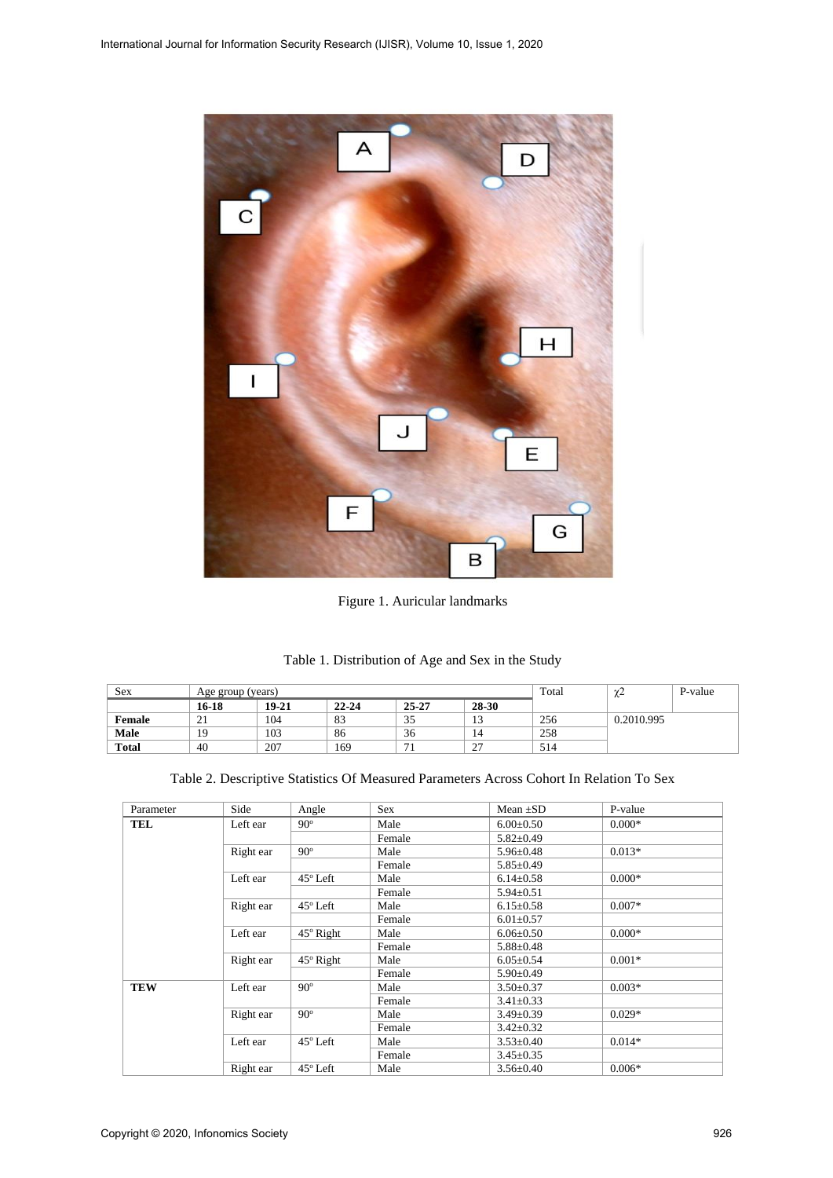

Figure 1. Auricular landmarks

| Table 1. Distribution of Age and Sex in the Study |  |
|---------------------------------------------------|--|
|---------------------------------------------------|--|

| Sex          | Age group (years) |       |           |              |                      | Total | $\sim$<br>∼ | P-value |
|--------------|-------------------|-------|-----------|--------------|----------------------|-------|-------------|---------|
|              | 16-18             | 19-21 | $22 - 24$ | 25-27        | 28-30                |       |             |         |
| Female       | $\sim$ 1          | 104   | 83        | $\sim$<br>33 | 1 <sub>2</sub><br>IJ | 256   | 0.2010.995  |         |
| Male         | 19                | 103   | 86        | 36           | 14                   | 258   |             |         |
| <b>Total</b> | 40                | 207   | 169       |              | $\sim$<br><u>_</u>   | 514   |             |         |

|  |  |  | Table 2. Descriptive Statistics Of Measured Parameters Across Cohort In Relation To Sex |
|--|--|--|-----------------------------------------------------------------------------------------|
|--|--|--|-----------------------------------------------------------------------------------------|

| Parameter  | Side      | Angle            | <b>Sex</b>              | Mean $\pm SD$   | P-value  |
|------------|-----------|------------------|-------------------------|-----------------|----------|
| <b>TEL</b> | Left ear  | $90^\circ$       | Male<br>$6.00 \pm 0.50$ |                 | $0.000*$ |
|            |           |                  | Female                  | $5.82 \pm 0.49$ |          |
|            | Right ear | $90^\circ$       | Male                    | $5.96 \pm 0.48$ | $0.013*$ |
|            |           |                  | Female                  | $5.85 \pm 0.49$ |          |
|            | Left ear  | $45^\circ$ Left  | Male                    | $6.14 \pm 0.58$ | $0.000*$ |
|            |           |                  | Female                  | $5.94 \pm 0.51$ |          |
|            | Right ear | $45^\circ$ Left  | Male                    | $6.15 \pm 0.58$ | $0.007*$ |
|            |           |                  | Female                  | $6.01 \pm 0.57$ |          |
|            | Left ear  | $45^\circ$ Right | Male                    | $6.06 \pm 0.50$ | $0.000*$ |
|            |           |                  | Female                  | $5.88 \pm 0.48$ |          |
|            | Right ear | $45^\circ$ Right | Male                    | $6.05 \pm 0.54$ | $0.001*$ |
|            |           |                  | Female                  | $5.90 \pm 0.49$ |          |
| <b>TEW</b> | Left ear  | $90^\circ$       | Male                    | $3.50 \pm 0.37$ | $0.003*$ |
|            |           |                  | Female                  | $3.41 \pm 0.33$ |          |
|            | Right ear | $90^\circ$       | Male                    | $3.49 \pm 0.39$ | $0.029*$ |
|            |           |                  | Female                  | $3.42 \pm 0.32$ |          |
|            | Left ear  | $45^\circ$ Left  | Male                    | $3.53 \pm 0.40$ | $0.014*$ |
|            |           |                  | Female                  | $3.45 \pm 0.35$ |          |
|            | Right ear | $45^\circ$ Left  | Male                    | $3.56 \pm 0.40$ | $0.006*$ |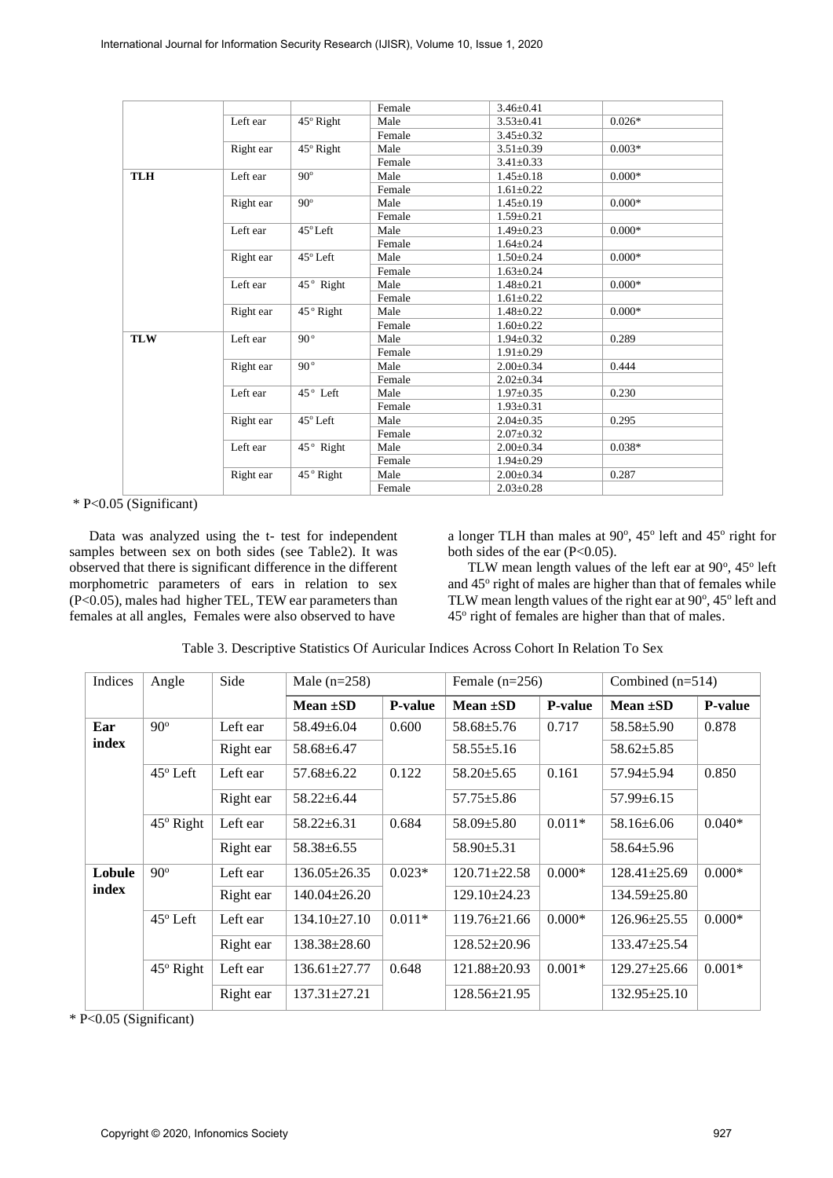|            |           |                   | Female | $3.46 \pm 0.41$ |          |  |
|------------|-----------|-------------------|--------|-----------------|----------|--|
|            | Left ear  | $45^\circ$ Right  | Male   | $3.53 \pm 0.41$ | $0.026*$ |  |
|            |           |                   | Female | $3.45 \pm 0.32$ |          |  |
|            | Right ear | 45° Right         | Male   | $3.51 \pm 0.39$ | $0.003*$ |  |
|            |           |                   | Female | $3.41 \pm 0.33$ |          |  |
| <b>TLH</b> | Left ear  | $90^\circ$        | Male   | $1.45 \pm 0.18$ | $0.000*$ |  |
|            |           |                   | Female | $1.61 \pm 0.22$ |          |  |
|            | Right ear | $90^\circ$        | Male   | $1.45 \pm 0.19$ | $0.000*$ |  |
|            |           |                   | Female | $1.59 \pm 0.21$ |          |  |
|            | Left ear  | $45^{\circ}$ Left | Male   | $1.49 \pm 0.23$ | $0.000*$ |  |
|            |           |                   | Female | $1.64 \pm 0.24$ |          |  |
|            | Right ear | 45° Left          | Male   | $1.50 \pm 0.24$ | $0.000*$ |  |
|            |           |                   | Female | $1.63 \pm 0.24$ |          |  |
|            | Left ear  | 45° Right         | Male   | $1.48 \pm 0.21$ | $0.000*$ |  |
|            |           |                   | Female | $1.61 \pm 0.22$ |          |  |
|            | Right ear | 45° Right         | Male   | $1.48 \pm 0.22$ | $0.000*$ |  |
|            |           |                   | Female | $1.60 \pm 0.22$ |          |  |
| <b>TLW</b> | Left ear  | 90°               | Male   | $1.94 \pm 0.32$ | 0.289    |  |
|            |           |                   | Female | $1.91 \pm 0.29$ |          |  |
|            | Right ear | $90^{\circ}$      | Male   | $2.00 \pm 0.34$ | 0.444    |  |
|            |           |                   | Female | $2.02 \pm 0.34$ |          |  |
|            | Left ear  | 45° Left          | Male   | $1.97 \pm 0.35$ | 0.230    |  |
|            |           |                   | Female | $1.93 \pm 0.31$ |          |  |
|            | Right ear | 45° Left          | Male   | $2.04 \pm 0.35$ | 0.295    |  |
|            |           |                   | Female | $2.07 \pm 0.32$ |          |  |
|            | Left ear  | 45° Right         | Male   | $2.00 \pm 0.34$ | $0.038*$ |  |
|            |           |                   | Female | $1.94 \pm 0.29$ |          |  |
|            | Right ear | 45° Right         | Male   | $2.00 \pm 0.34$ | 0.287    |  |
|            |           |                   | Female | $2.03 \pm 0.28$ |          |  |
|            |           |                   |        |                 |          |  |

\* P<0.05 (Significant)

Data was analyzed using the t- test for independent samples between sex on both sides (see Table2). It was observed that there is significant difference in the different morphometric parameters of ears in relation to sex (P<0.05), males had higher TEL, TEW ear parameters than females at all angles, Females were also observed to have

a longer TLH than males at  $90^\circ$ ,  $45^\circ$  left and  $45^\circ$  right for both sides of the ear  $(P<0.05)$ .

TLW mean length values of the left ear at  $90^\circ$ ,  $45^\circ$  left and 45° right of males are higher than that of females while TLW mean length values of the right ear at 90°, 45° left and 45° right of females are higher than that of males.

| Indices | Angle            | Side      | Male $(n=258)$     |                | Female $(n=256)$   |                | Combined $(n=514)$ |                |
|---------|------------------|-----------|--------------------|----------------|--------------------|----------------|--------------------|----------------|
|         |                  |           | Mean $\pm SD$      | <b>P-value</b> | Mean $\pm SD$      | <b>P-value</b> | Mean $\pm SD$      | <b>P-value</b> |
| Ear     | $90^\circ$       | Left ear  | $58.49 \pm 6.04$   | 0.600          | $58.68 \pm 5.76$   | 0.717          | $58.58 \pm 5.90$   | 0.878          |
| index   |                  | Right ear | $58.68 \pm 6.47$   |                | $58.55 \pm 5.16$   |                | $58.62 \pm 5.85$   |                |
|         | $45^\circ$ Left  | Left ear  | $57.68 + 6.22$     | 0.122          | $58.20 \pm 5.65$   | 0.161          | $57.94 \pm 5.94$   | 0.850          |
|         |                  | Right ear | $58.22 \pm 6.44$   |                | $57.75 \pm 5.86$   |                | $57.99 \pm 6.15$   |                |
|         | $45^\circ$ Right | Left ear  | $58.22 \pm 6.31$   | 0.684          | $58.09 \pm 5.80$   | $0.011*$       | 58.16±6.06         | $0.040*$       |
|         |                  | Right ear | $58.38 \pm 6.55$   |                | $58.90 \pm 5.31$   |                | $58.64 \pm 5.96$   |                |
| Lobule  | $90^\circ$       | Left ear  | $136.05 \pm 26.35$ | $0.023*$       | $120.71 \pm 22.58$ | $0.000*$       | $128.41 \pm 25.69$ | $0.000*$       |
| index   |                  | Right ear | $140.04 \pm 26.20$ |                | 129.10±24.23       |                | $134.59 \pm 25.80$ |                |
|         | $45^\circ$ Left  | Left ear  | $134.10\pm27.10$   | $0.011*$       | $119.76 \pm 21.66$ | $0.000*$       | $126.96 \pm 25.55$ | $0.000*$       |
|         |                  | Right ear | $138.38 \pm 28.60$ |                | 128.52±20.96       |                | 133.47±25.54       |                |
|         | $45^\circ$ Right | Left ear  | $136.61 \pm 27.77$ | 0.648          | $121.88 \pm 20.93$ | $0.001*$       | $129.27 \pm 25.66$ | $0.001*$       |
|         |                  | Right ear | $137.31 \pm 27.21$ |                | 128.56±21.95       |                | $132.95 \pm 25.10$ |                |

Table 3. Descriptive Statistics Of Auricular Indices Across Cohort In Relation To Sex

\* P<0.05 (Significant)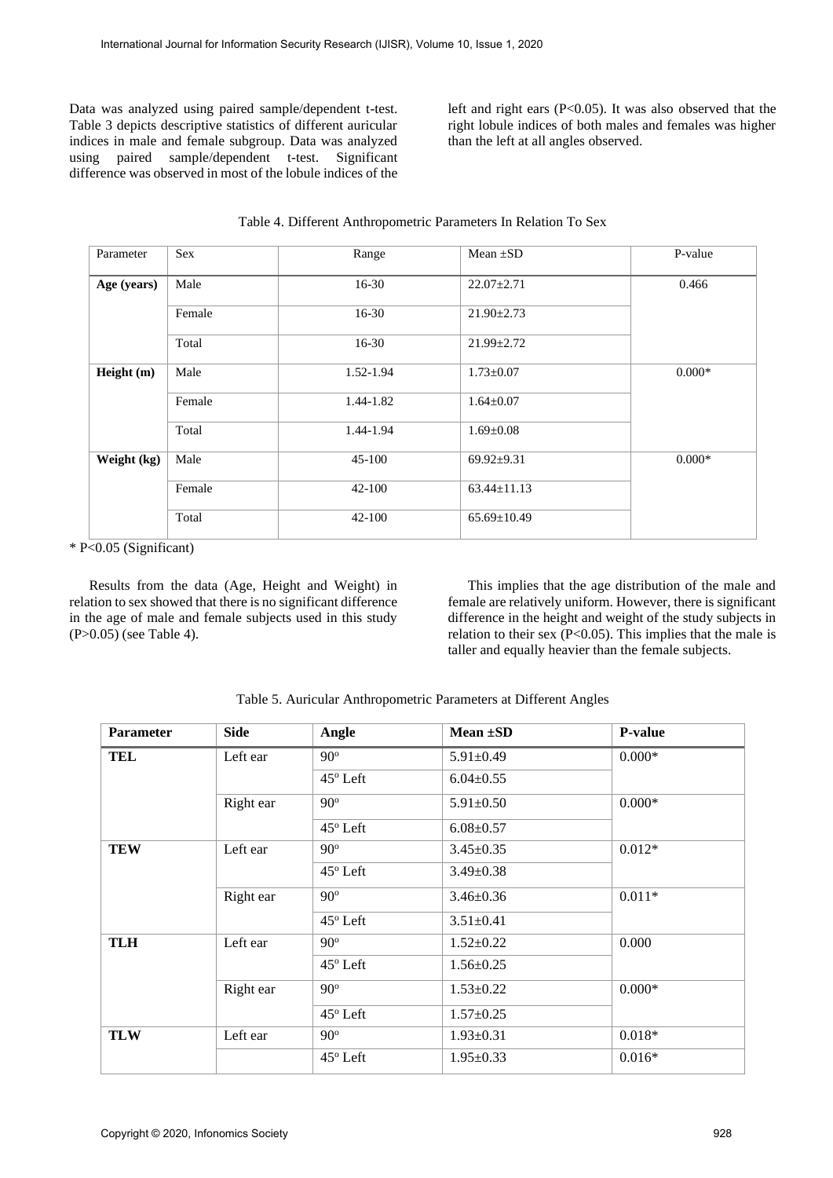Data was analyzed using paired sample/dependent t-test. Table 3 depicts descriptive statistics of different auricular indices in male and female subgroup. Data was analyzed using paired sample/dependent t-test. Significant difference was observed in most of the lobule indices of the left and right ears (P<0.05). It was also observed that the right lobule indices of both males and females was higher than the left at all angles observed.

| Parameter   | Sex    | Range      | Mean $\pm SD$     | P-value  |
|-------------|--------|------------|-------------------|----------|
| Age (years) | Male   | $16-30$    | $22.07 \pm 2.71$  | 0.466    |
|             | Female | $16-30$    | $21.90 \pm 2.73$  |          |
|             | Total  | $16-30$    | $21.99 \pm 2.72$  |          |
| Height (m)  | Male   | 1.52-1.94  | $1.73 \pm 0.07$   | $0.000*$ |
|             | Female | 1.44-1.82  | $1.64 \pm 0.07$   |          |
|             | Total  | 1.44-1.94  | $1.69 \pm 0.08$   |          |
| Weight (kg) | Male   | $45 - 100$ | $69.92 \pm 9.31$  | $0.000*$ |
|             | Female | $42 - 100$ | $63.44 \pm 11.13$ |          |
|             | Total  | $42 - 100$ | $65.69 \pm 10.49$ |          |

| Table 4. Different Anthropometric Parameters In Relation To Sex |  |
|-----------------------------------------------------------------|--|
|-----------------------------------------------------------------|--|

\* P<0.05 (Significant)

Results from the data (Age, Height and Weight) in relation to sex showed that there is no significant difference in the age of male and female subjects used in this study (P>0.05) (see Table 4).

This implies that the age distribution of the male and female are relatively uniform. However, there is significant difference in the height and weight of the study subjects in relation to their sex (P<0.05). This implies that the male is taller and equally heavier than the female subjects.

| <b>Parameter</b> | <b>Side</b> | Angle             | Mean $\pm SD$   | <b>P-value</b> |
|------------------|-------------|-------------------|-----------------|----------------|
| <b>TEL</b>       | Left ear    | $90^\circ$        | $5.91 \pm 0.49$ | $0.000*$       |
|                  |             | 45° Left          | $6.04 \pm 0.55$ |                |
|                  | Right ear   | $90^\circ$        | $5.91 \pm 0.50$ | $0.000*$       |
|                  |             | $45^{\circ}$ Left | $6.08 \pm 0.57$ |                |
| <b>TEW</b>       | Left ear    | $90^\circ$        | $3.45 \pm 0.35$ | $0.012*$       |
|                  |             | $45^{\circ}$ Left | $3.49 \pm 0.38$ |                |
|                  | Right ear   | $90^\circ$        | $3.46 \pm 0.36$ | $0.011*$       |
|                  |             | $45^\circ$ Left   | $3.51 \pm 0.41$ |                |
| <b>TLH</b>       | Left ear    | $90^\circ$        | $1.52 \pm 0.22$ | 0.000          |
|                  |             | $45^{\circ}$ Left | $1.56 \pm 0.25$ |                |
|                  | Right ear   | $90^\circ$        | $1.53 \pm 0.22$ | $0.000*$       |
|                  |             | 45° Left          | $1.57 \pm 0.25$ |                |
| <b>TLW</b>       | Left ear    | $90^\circ$        | $1.93 \pm 0.31$ | $0.018*$       |
|                  |             | $45^\circ$ Left   | $1.95 \pm 0.33$ | $0.016*$       |

Table 5. Auricular Anthropometric Parameters at Different Angles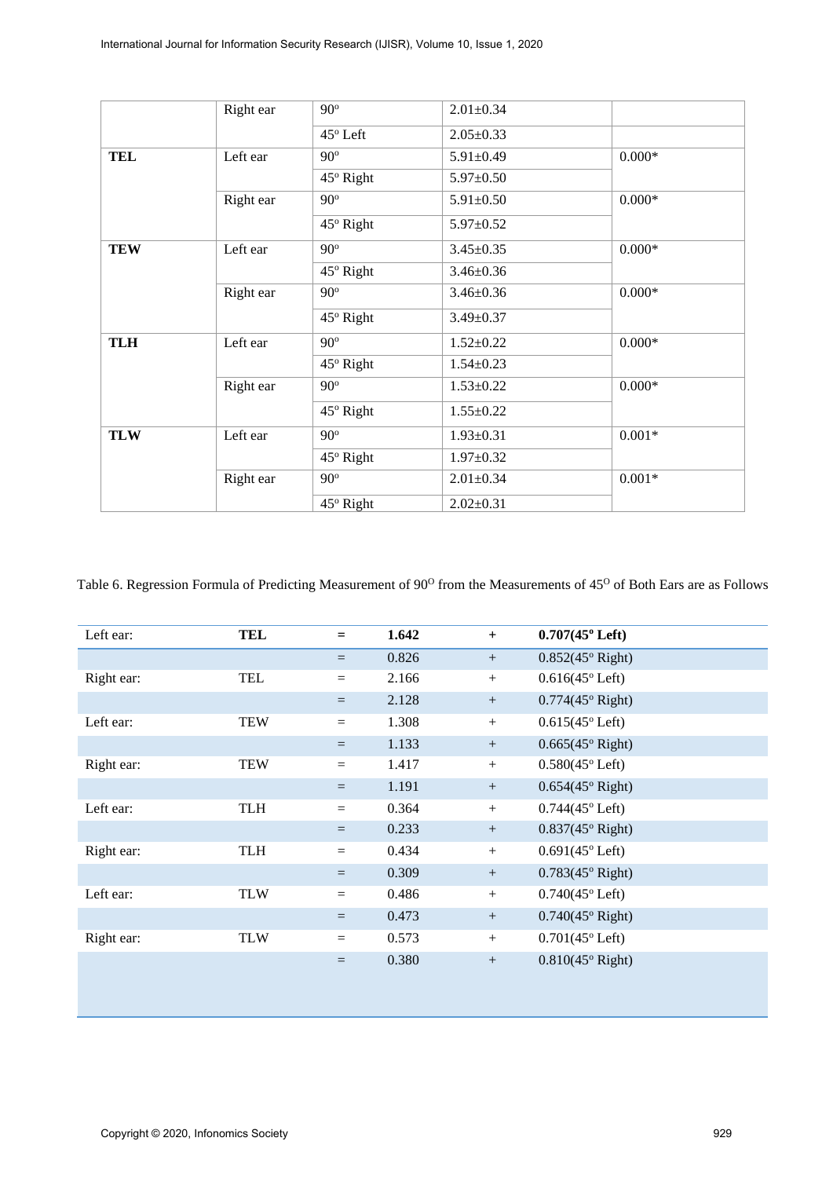|            | Right ear | $90^\circ$        | $2.01 \pm 0.34$ |          |
|------------|-----------|-------------------|-----------------|----------|
|            |           | $45^{\circ}$ Left | $2.05 \pm 0.33$ |          |
| <b>TEL</b> | Left ear  | $90^\circ$        | $5.91 \pm 0.49$ | $0.000*$ |
|            |           | $45^\circ$ Right  | $5.97 \pm 0.50$ |          |
|            | Right ear | $90^\circ$        | $5.91 \pm 0.50$ | $0.000*$ |
|            |           | $45^\circ$ Right  | $5.97 \pm 0.52$ |          |
| <b>TEW</b> | Left ear  | $90^\circ$        | $3.45 \pm 0.35$ | $0.000*$ |
|            |           | 45° Right         | $3.46 \pm 0.36$ |          |
|            | Right ear | $90^\circ$        | $3.46 \pm 0.36$ | $0.000*$ |
|            |           | 45° Right         | $3.49 \pm 0.37$ |          |
| <b>TLH</b> | Left ear  | $90^\circ$        | $1.52 \pm 0.22$ | $0.000*$ |
|            |           | $45^\circ$ Right  | $1.54 \pm 0.23$ |          |
|            | Right ear | $90^\circ$        | $1.53 \pm 0.22$ | $0.000*$ |
|            |           | $45^\circ$ Right  | $1.55 \pm 0.22$ |          |
| <b>TLW</b> | Left ear  | $90^\circ$        | $1.93 \pm 0.31$ | $0.001*$ |
|            |           | $45^\circ$ Right  | $1.97 \pm 0.32$ |          |
|            | Right ear | $90^\circ$        | $2.01 \pm 0.34$ | $0.001*$ |
|            |           | 45° Right         | $2.02 \pm 0.31$ |          |

Table 6. Regression Formula of Predicting Measurement of 90<sup>o</sup> from the Measurements of 45<sup>o</sup> of Both Ears are as Follows

| Left ear:  | <b>TEL</b> | $=$      | 1.642 | $+$    | $0.707(45^{\circ}$ Left)  |
|------------|------------|----------|-------|--------|---------------------------|
|            |            | $=$      | 0.826 | $+$    | $0.852(45°$ Right)        |
| Right ear: | <b>TEL</b> | $=$      | 2.166 | $^{+}$ | $0.616(45^{\circ}$ Left)  |
|            |            | $=$      | 2.128 | $+$    | $0.774(45°$ Right)        |
| Left ear:  | <b>TEW</b> | $=$      | 1.308 | $+$    | $0.615(45^{\circ}$ Left)  |
|            |            | $=$      | 1.133 | $+$    | $0.665(45°$ Right)        |
| Right ear: | <b>TEW</b> | $=$      | 1.417 | $+$    | $0.580(45^{\circ}$ Left)  |
|            |            | $=$      | 1.191 | $+$    | $0.654(45°$ Right)        |
| Left ear:  | <b>TLH</b> | $=$      | 0.364 | $+$    | $0.744(45^{\circ}$ Left)  |
|            |            | $=$      | 0.233 | $+$    | $0.837(45^{\circ}$ Right) |
| Right ear: | <b>TLH</b> | $=$      | 0.434 | $+$    | $0.691(45^{\circ}$ Left)  |
|            |            | $=$      | 0.309 | $+$    | $0.783(45^{\circ}$ Right) |
| Left ear:  | <b>TLW</b> | $=$      | 0.486 | $+$    | $0.740(45^{\circ}$ Left)  |
|            |            | $\equiv$ | 0.473 | $+$    | $0.740(45°$ Right)        |
| Right ear: | <b>TLW</b> | $=$      | 0.573 | $+$    | $0.701(45^{\circ}$ Left)  |
|            |            | $=$      | 0.380 | $^{+}$ | $0.810(45°$ Right)        |
|            |            |          |       |        |                           |
|            |            |          |       |        |                           |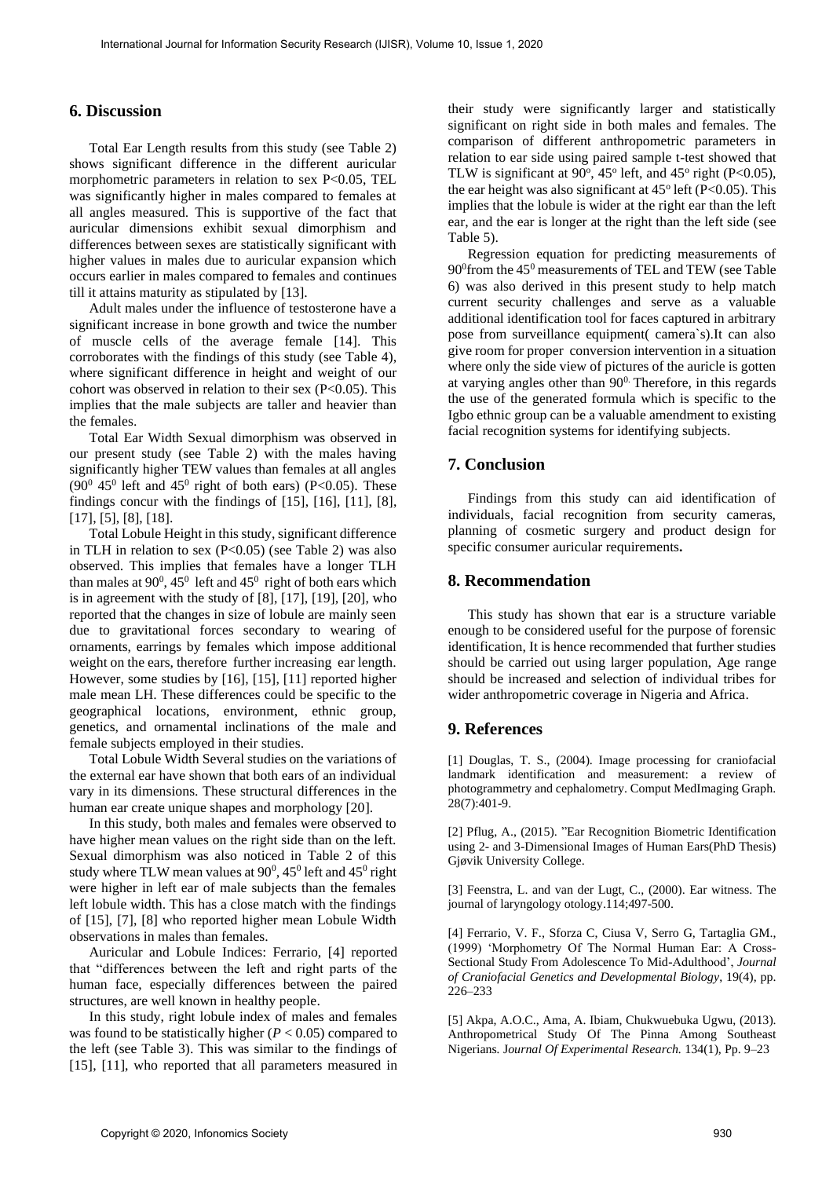# **6. Discussion**

Total Ear Length results from this study (see Table 2) shows significant difference in the different auricular morphometric parameters in relation to sex P<0.05, TEL was significantly higher in males compared to females at all angles measured. This is supportive of the fact that auricular dimensions exhibit sexual dimorphism and differences between sexes are statistically significant with higher values in males due to auricular expansion which occurs earlier in males compared to females and continues till it attains maturity as stipulated by [13].

Adult males under the influence of testosterone have a significant increase in bone growth and twice the number of muscle cells of the average female [14]. This corroborates with the findings of this study (see Table 4), where significant difference in height and weight of our cohort was observed in relation to their sex  $(P<0.05)$ . This implies that the male subjects are taller and heavier than the females.

Total Ear Width Sexual dimorphism was observed in our present study (see Table 2) with the males having significantly higher TEW values than females at all angles  $(90^0 45^0$  left and  $45^0$  right of both ears) (P<0.05). These findings concur with the findings of [15], [16], [11], [8], [17], [5], [8], [18].

Total Lobule Height in this study, significant difference in TLH in relation to sex  $(P<0.05)$  (see Table 2) was also observed. This implies that females have a longer TLH than males at  $90^0$ ,  $45^0$  left and  $45^0$  right of both ears which is in agreement with the study of [8], [17], [19], [20], who reported that the changes in size of lobule are mainly seen due to gravitational forces secondary to wearing of ornaments, earrings by females which impose additional weight on the ears, therefore further increasing ear length. However, some studies by [16], [15], [11] reported higher male mean LH. These differences could be specific to the geographical locations, environment, ethnic group, genetics, and ornamental inclinations of the male and female subjects employed in their studies.

Total Lobule Width Several studies on the variations of the external ear have shown that both ears of an individual vary in its dimensions. These structural differences in the human ear create unique shapes and morphology [20].

In this study, both males and females were observed to have higher mean values on the right side than on the left. Sexual dimorphism was also noticed in Table 2 of this study where TLW mean values at  $90^0$ ,  $45^0$  left and  $45^0$  right were higher in left ear of male subjects than the females left lobule width. This has a close match with the findings of [15], [7], [8] who reported higher mean Lobule Width observations in males than females.

Auricular and Lobule Indices: Ferrario, [4] reported that "differences between the left and right parts of the human face, especially differences between the paired structures, are well known in healthy people.

In this study, right lobule index of males and females was found to be statistically higher  $(P < 0.05)$  compared to the left (see Table 3). This was similar to the findings of [15], [11], who reported that all parameters measured in their study were significantly larger and statistically significant on right side in both males and females. The comparison of different anthropometric parameters in relation to ear side using paired sample t-test showed that TLW is significant at  $90^\circ$ ,  $45^\circ$  left, and  $45^\circ$  right (P<0.05), the ear height was also significant at  $45^{\circ}$  left (P<0.05). This implies that the lobule is wider at the right ear than the left ear, and the ear is longer at the right than the left side (see Table 5).

Regression equation for predicting measurements of 90<sup>0</sup> from the 45<sup>0</sup> measurements of TEL and TEW (see Table 6) was also derived in this present study to help match current security challenges and serve as a valuable additional identification tool for faces captured in arbitrary pose from surveillance equipment( camera`s).It can also give room for proper conversion intervention in a situation where only the side view of pictures of the auricle is gotten at varying angles other than  $90^\circ$ . Therefore, in this regards the use of the generated formula which is specific to the Igbo ethnic group can be a valuable amendment to existing facial recognition systems for identifying subjects.

# **7. Conclusion**

Findings from this study can aid identification of individuals, facial recognition from security cameras, planning of cosmetic surgery and product design for specific consumer auricular requirements**.**

## **8. Recommendation**

This study has shown that ear is a structure variable enough to be considered useful for the purpose of forensic identification, It is hence recommended that further studies should be carried out using larger population, Age range should be increased and selection of individual tribes for wider anthropometric coverage in Nigeria and Africa.

# **9. References**

[1] Douglas, T. S., (2004). Image processing for craniofacial landmark identification and measurement: a review of photogrammetry and cephalometry. Comput MedImaging Graph. 28(7):401-9.

[2] Pflug, A., (2015). "Ear Recognition Biometric Identification using 2- and 3-Dimensional Images of Human Ears(PhD Thesis) Gjøvik University College.

[3] Feenstra, L. and van der Lugt, C., (2000). Ear witness. The journal of laryngology otology.114;497-500.

[4] Ferrario, V. F.*,* Sforza C, Ciusa V, Serro G, Tartaglia GM., (1999) 'Morphometry Of The Normal Human Ear: A Cross-Sectional Study From Adolescence To Mid-Adulthood', *Journal of Craniofacial Genetics and Developmental Biology*, 19(4), pp. 226–233

[5] Akpa, A.O.C., Ama, A. Ibiam, Chukwuebuka Ugwu, (2013). Anthropometrical Study Of The Pinna Among Southeast Nigerians*.* J*ournal Of Experimental Research.* 134(1), Pp. 9–23